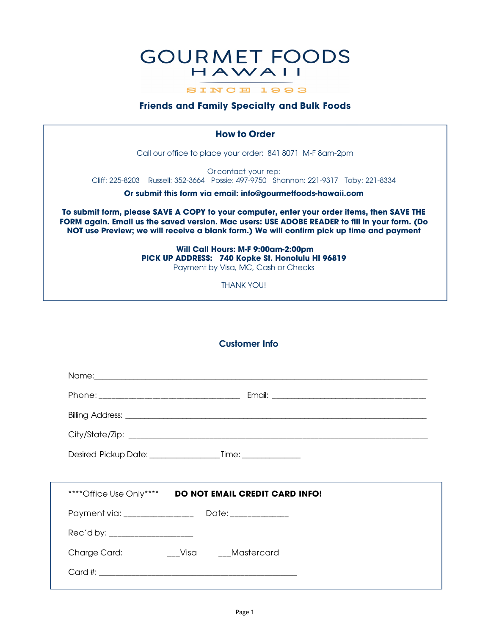# **GOURMET FOODS** HAWAII

SINCE 1993

### **Friends and Family Specialty and Bulk Foods**

## **How to Order**

Call our office to place your order: 841 8071 M-F 8am-2pm

Or contact your rep: Cliff: 225-8203 Russell: 352-3664 Possie: 497-9750 Shannon: 221-9317 Toby: 221-8334

**Or submit this form via email: info@gourmetfoods-hawaii.com**

**To submit form, please SAVE A COPY to your computer, enter your order items, then SAVE THE FORM again. Email us the saved version. Mac users: USE ADOBE READER to fill in your form. (Do NOT use Preview; we will receive a blank form.) We will confirm pick up time and payment**

> **Will Call Hours: M-F 9:00am-2:00pm PICK UP ADDRESS: 740 Kopke St. Honolulu HI 96819** Payment by Visa, MC, Cash or Checks

> > THANK YOU!

## **Customer Info**

|                                   | **** Office Use Only**** DO NOT EMAIL CREDIT CARD INFO! |  |
|-----------------------------------|---------------------------------------------------------|--|
|                                   |                                                         |  |
| Rec'd by: _______________________ |                                                         |  |
| Charge Card:                      | __Visa ___Mastercard                                    |  |
|                                   |                                                         |  |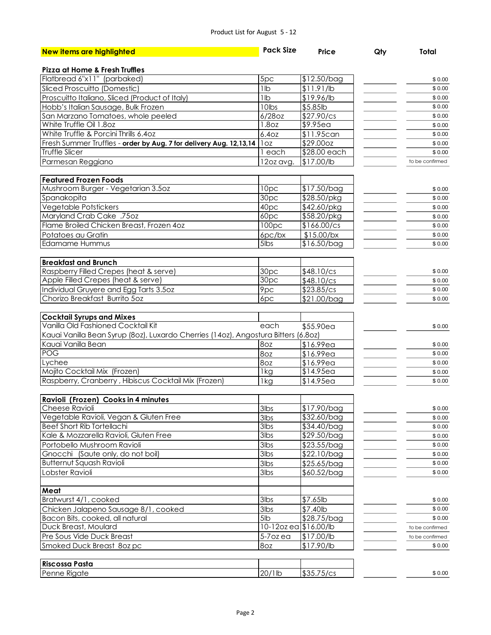#### Product List for August 5 - 12

| <b>New items are highlighted</b>                                                   | <b>Pack Size</b>     | Price                   | Qty | <b>Total</b>     |
|------------------------------------------------------------------------------------|----------------------|-------------------------|-----|------------------|
|                                                                                    |                      |                         |     |                  |
| <b>Pizza at Home &amp; Fresh Truffles</b>                                          |                      |                         |     |                  |
| Flatbread 6"x11" (parbaked)                                                        | 5pc                  | $$12.50/b$ ag           |     | \$0.00           |
| Sliced Proscuitto (Domestic)                                                       | 1lb                  | \$11.91/lb              |     | \$0.00           |
| Proscuitto Italiano, Sliced (Product of Italy)                                     | 1lb                  | \$19.96/lb              |     | \$0.00           |
| Hobb's Italian Sausage, Bulk Frozen                                                | 10lbs                | \$5.85lb                |     | \$0.00           |
| San Marzano Tomatoes, whole peeled                                                 | $6/28$ oz            | \$27.90/cs              |     | \$0.00           |
| White Truffle Oil 1.8oz                                                            | 1.8oz                | $$9.95$ ea              |     | \$0.00           |
| White Truffle & Porcini Thrills 6.40z                                              | 6.40z                | \$11.95can              |     | \$0.00           |
| Fresh Summer Truffles - order by Aug. 7 for delivery Aug. 12,13,14   loz           |                      | \$29.000z               |     | \$0.00           |
| Truffle Slicer                                                                     | 1 each               | \$28.00 each            |     | \$0.00           |
| Parmesan Reggiano                                                                  | 12oz avg.            | \$17.00/lb              |     | to be confirmed  |
| <b>Featured Frozen Foods</b>                                                       |                      |                         |     |                  |
| Mushroom Burger - Vegetarian 3.5oz                                                 | 10pc                 | \$17.50/bag             |     | \$0.00           |
| Spanakopita                                                                        | 30pc                 | $\overline{$28.50$ /pkg |     | \$0.00           |
| Vegetable Potstickers                                                              | 40pc                 | \$42.60/pkg             |     | \$0.00           |
| Maryland Crab Cake .75oz                                                           | 60pc                 | \$58.20/pkg             |     |                  |
| Flame Broiled Chicken Breast, Frozen 4oz                                           | 100pc                | $\sqrt{166.00}$ /cs     |     | \$0.00<br>\$0.00 |
|                                                                                    |                      |                         |     |                  |
| Potatoes au Gratin                                                                 | $6pc$ / $bx$         | $$15.00$ /bx            |     | \$0.00           |
| <b>Edamame Hummus</b>                                                              | 5lbs                 | \$16.50/bag             |     | \$0.00           |
| <b>Breakfast and Brunch</b>                                                        |                      |                         |     |                  |
| Raspberry Filled Crepes (heat & serve)                                             | 30pc                 | \$48.10/cs              |     | \$0.00           |
| Apple Filled Crepes (heat & serve)                                                 | 30pc                 | \$48.10/cs              |     | \$0.00           |
| Individual Gruyere and Egg Tarts 3.5oz                                             | 9pc                  | \$23.85/cs              |     | \$0.00           |
| Chorizo Breakfast Burrito 5oz                                                      | 6pc                  | \$21.00/bag             |     | \$0.00           |
|                                                                                    |                      |                         |     |                  |
| <b>Cocktail Syrups and Mixes</b>                                                   |                      |                         |     |                  |
| Vanilla Old Fashioned Cocktail Kit                                                 | each                 | \$55.90ea               |     | \$0.00           |
| Kauai Vanilla Bean Syrup (80z), Luxardo Cherries (140z), Angostura Bitters (6.80z) |                      |                         |     |                  |
| Kauai Vanilla Bean                                                                 | 8oz                  | \$16.99ea               |     | \$0.00           |
| <b>POG</b>                                                                         | 8oz                  | \$16.99ea               |     | \$0.00           |
| Lychee                                                                             | 8oz                  | 16.99ea                 |     | \$0.00           |
| Mojito Cocktail Mix (Frozen)                                                       | 1kg                  | $$14.95e$ a             |     | \$0.00           |
| Raspberry, Cranberry, Hibiscus Cocktail Mix (Frozen)                               | 1 <sub>kg</sub>      | \$14.95ea               |     | \$0.00           |
|                                                                                    |                      |                         |     |                  |
| Ravioli (Frozen) Cooks in 4 minutes                                                |                      |                         |     |                  |
| Cheese Ravioli                                                                     | 3lbs                 | \$17.90/bag             |     | \$0.00           |
| Vegetable Ravioli, Vegan & Gluten Free                                             | $3$ lbs              | \$32.60/bag             |     | \$0.00           |
| <b>Beef Short Rib Tortellachi</b>                                                  | 3lbs                 | \$34.40/bag             |     | \$0.00           |
| Kale & Mozzarella Ravioli, Gluten Free                                             | 3lbs                 | \$29.50/bag             |     | \$0.00           |
| Portobello Mushroom Ravioli                                                        | 3lbs                 | $$23.55/b$ ag           |     | \$0.00           |
| Gnocchi (Saute only, do not boil)                                                  | 3lbs                 | \$22.10/bag             |     | \$0.00           |
| <b>Butternut Squash Ravioli</b>                                                    | 3lbs                 | \$25.65/bag             |     | \$0.00           |
| Lobster Ravioli                                                                    | 3lbs                 | $$60.52/b$ ag           |     | \$0.00           |
|                                                                                    |                      |                         |     |                  |
| Meat<br>Bratwurst 4/1, cooked                                                      | 3lbs                 | $$7.65$ lb              |     |                  |
|                                                                                    | $3$ lbs              |                         |     | \$0.00           |
| Chicken Jalapeno Sausage 8/1, cooked                                               |                      | \$7.40lb                |     | \$0.00           |
| Bacon Bits, cooked, all natural                                                    | 5lb                  | \$28.75/bag             |     | \$0.00           |
| Duck Breast, Moulard                                                               | 10-12ozea \$16.00/lb |                         |     | to be confirmed  |
| Pre Sous Vide Duck Breast                                                          | $5-7$ ozea           | \$17.00/lb              |     | to be confirmed  |
| Smoked Duck Breast 8oz pc                                                          | 8oz                  | \$17.90/lb              |     | \$0.00           |
| <b>Riscossa Pasta</b>                                                              |                      |                         |     |                  |
| Penne Rigate                                                                       | 20/1lb               | \$35.75/cs              |     | \$0.00           |
|                                                                                    |                      |                         |     |                  |